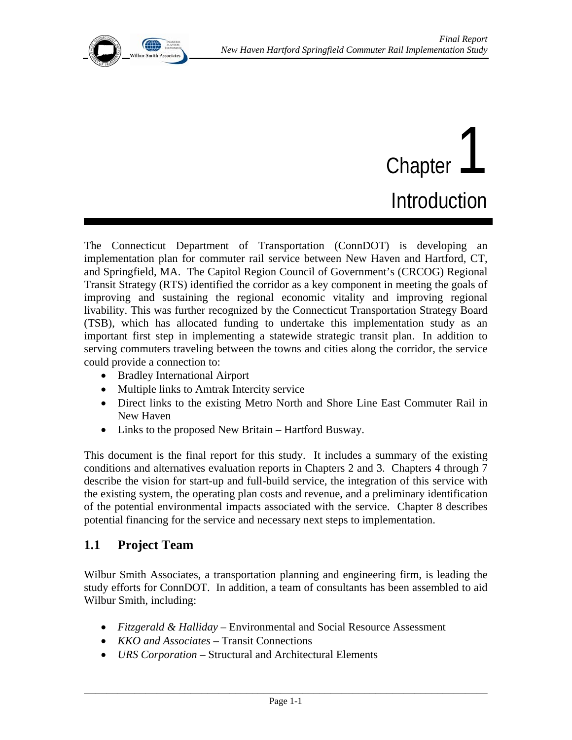

# Chapter | Introduction

The Connecticut Department of Transportation (ConnDOT) is developing an implementation plan for commuter rail service between New Haven and Hartford, CT, and Springfield, MA. The Capitol Region Council of Government's (CRCOG) Regional Transit Strategy (RTS) identified the corridor as a key component in meeting the goals of improving and sustaining the regional economic vitality and improving regional livability. This was further recognized by the Connecticut Transportation Strategy Board (TSB), which has allocated funding to undertake this implementation study as an important first step in implementing a statewide strategic transit plan. In addition to serving commuters traveling between the towns and cities along the corridor, the service could provide a connection to:

- Bradley International Airport
- Multiple links to Amtrak Intercity service
- Direct links to the existing Metro North and Shore Line East Commuter Rail in New Haven
- Links to the proposed New Britain Hartford Busway.

This document is the final report for this study. It includes a summary of the existing conditions and alternatives evaluation reports in Chapters 2 and 3. Chapters 4 through 7 describe the vision for start-up and full-build service, the integration of this service with the existing system, the operating plan costs and revenue, and a preliminary identification of the potential environmental impacts associated with the service. Chapter 8 describes potential financing for the service and necessary next steps to implementation.

#### **1.1 Project Team**

Wilbur Smith Associates, a transportation planning and engineering firm, is leading the study efforts for ConnDOT. In addition, a team of consultants has been assembled to aid Wilbur Smith, including:

- *Fitzgerald & Halliday* Environmental and Social Resource Assessment
- *KKO and Associates* Transit Connections
- *URS Corporation* Structural and Architectural Elements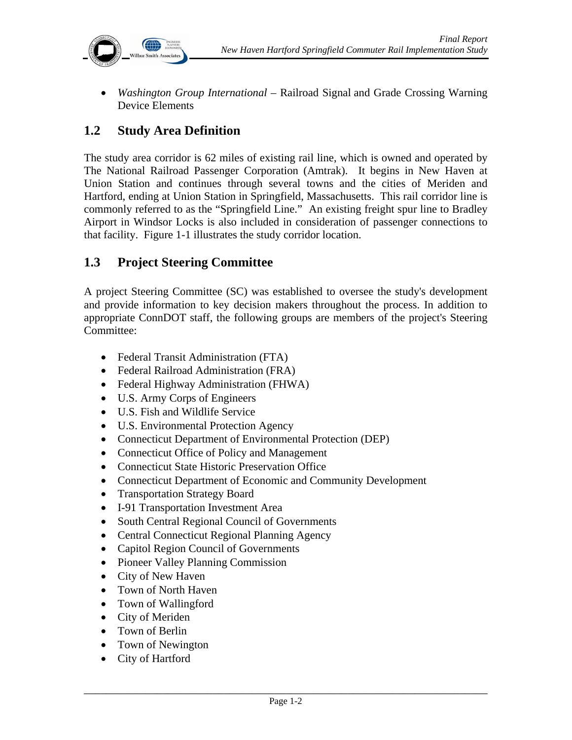

• *Washington Group International* – Railroad Signal and Grade Crossing Warning Device Elements

### **1.2 Study Area Definition**

The study area corridor is 62 miles of existing rail line, which is owned and operated by The National Railroad Passenger Corporation (Amtrak). It begins in New Haven at Union Station and continues through several towns and the cities of Meriden and Hartford, ending at Union Station in Springfield, Massachusetts. This rail corridor line is commonly referred to as the "Springfield Line." An existing freight spur line to Bradley Airport in Windsor Locks is also included in consideration of passenger connections to that facility. Figure 1-1 illustrates the study corridor location.

#### **1.3 Project Steering Committee**

A project Steering Committee (SC) was established to oversee the study's development and provide information to key decision makers throughout the process. In addition to appropriate ConnDOT staff, the following groups are members of the project's Steering Committee:

- Federal Transit Administration (FTA)
- Federal Railroad Administration (FRA)
- Federal Highway Administration (FHWA)
- U.S. Army Corps of Engineers
- U.S. Fish and Wildlife Service
- U.S. Environmental Protection Agency
- Connecticut Department of Environmental Protection (DEP)
- Connecticut Office of Policy and Management
- Connecticut State Historic Preservation Office
- Connecticut Department of Economic and Community Development
- Transportation Strategy Board
- I-91 Transportation Investment Area
- South Central Regional Council of Governments
- Central Connecticut Regional Planning Agency
- Capitol Region Council of Governments
- Pioneer Valley Planning Commission
- City of New Haven
- Town of North Haven
- Town of Wallingford
- City of Meriden
- Town of Berlin
- Town of Newington
- City of Hartford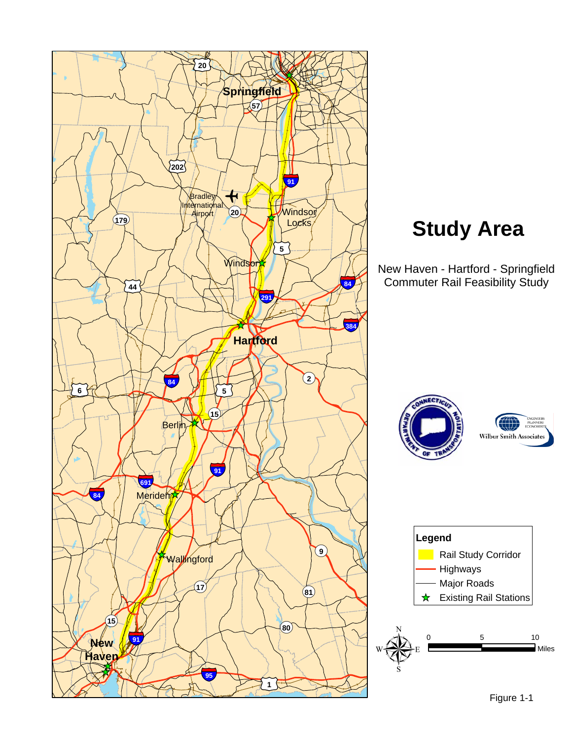

# **Study Area**

New Haven - Hartford - Springfield Commuter Rail Feasibility Study





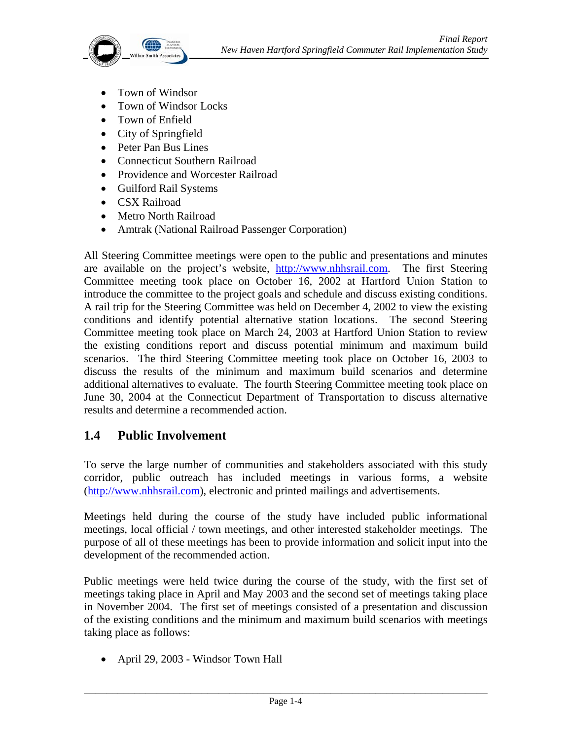

- Town of Windsor
- Town of Windsor Locks
- Town of Enfield
- City of Springfield
- Peter Pan Bus Lines
- Connecticut Southern Railroad
- Providence and Worcester Railroad
- Guilford Rail Systems
- CSX Railroad
- Metro North Railroad
- Amtrak (National Railroad Passenger Corporation)

All Steering Committee meetings were open to the public and presentations and minutes are available on the project's website, http://www.nhhsrail.com. The first Steering Committee meeting took place on October 16, 2002 at Hartford Union Station to introduce the committee to the project goals and schedule and discuss existing conditions. A rail trip for the Steering Committee was held on December 4, 2002 to view the existing conditions and identify potential alternative station locations. The second Steering Committee meeting took place on March 24, 2003 at Hartford Union Station to review the existing conditions report and discuss potential minimum and maximum build scenarios. The third Steering Committee meeting took place on October 16, 2003 to discuss the results of the minimum and maximum build scenarios and determine additional alternatives to evaluate. The fourth Steering Committee meeting took place on June 30, 2004 at the Connecticut Department of Transportation to discuss alternative results and determine a recommended action.

## **1.4 Public Involvement**

To serve the large number of communities and stakeholders associated with this study corridor, public outreach has included meetings in various forms, a website (http://www.nhhsrail.com), electronic and printed mailings and advertisements.

Meetings held during the course of the study have included public informational meetings, local official / town meetings, and other interested stakeholder meetings. The purpose of all of these meetings has been to provide information and solicit input into the development of the recommended action.

Public meetings were held twice during the course of the study, with the first set of meetings taking place in April and May 2003 and the second set of meetings taking place in November 2004. The first set of meetings consisted of a presentation and discussion of the existing conditions and the minimum and maximum build scenarios with meetings taking place as follows:

• April 29, 2003 - Windsor Town Hall